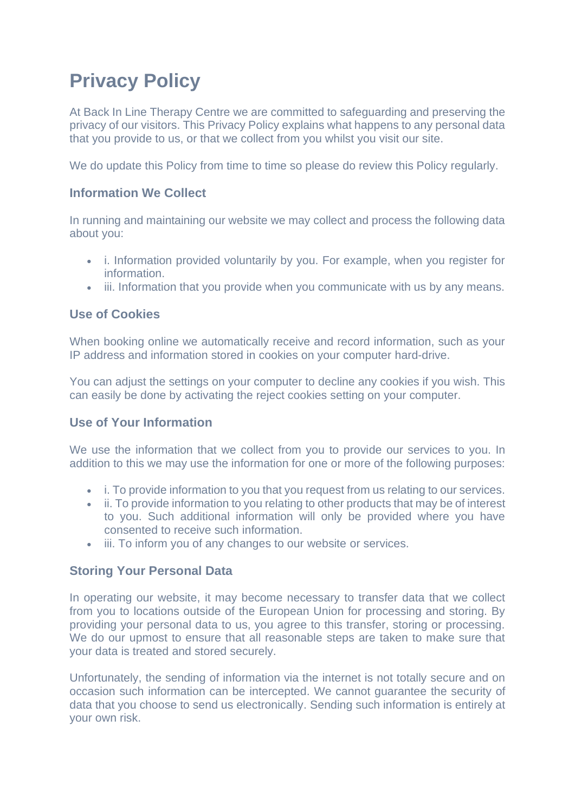# **Privacy Policy**

At Back In Line Therapy Centre we are committed to safeguarding and preserving the privacy of our visitors. This Privacy Policy explains what happens to any personal data that you provide to us, or that we collect from you whilst you visit our site.

We do update this Policy from time to time so please do review this Policy regularly.

# **Information We Collect**

In running and maintaining our website we may collect and process the following data about you:

- i. Information provided voluntarily by you. For example, when you register for information.
- iii. Information that you provide when you communicate with us by any means.

# **Use of Cookies**

When booking online we automatically receive and record information, such as your IP address and information stored in cookies on your computer hard-drive.

You can adjust the settings on your computer to decline any cookies if you wish. This can easily be done by activating the reject cookies setting on your computer.

#### **Use of Your Information**

We use the information that we collect from you to provide our services to you. In addition to this we may use the information for one or more of the following purposes:

- i. To provide information to you that you request from us relating to our services.
- ii. To provide information to you relating to other products that may be of interest to you. Such additional information will only be provided where you have consented to receive such information.
- iii. To inform you of any changes to our website or services.

# **Storing Your Personal Data**

In operating our website, it may become necessary to transfer data that we collect from you to locations outside of the European Union for processing and storing. By providing your personal data to us, you agree to this transfer, storing or processing. We do our upmost to ensure that all reasonable steps are taken to make sure that your data is treated and stored securely.

Unfortunately, the sending of information via the internet is not totally secure and on occasion such information can be intercepted. We cannot guarantee the security of data that you choose to send us electronically. Sending such information is entirely at your own risk.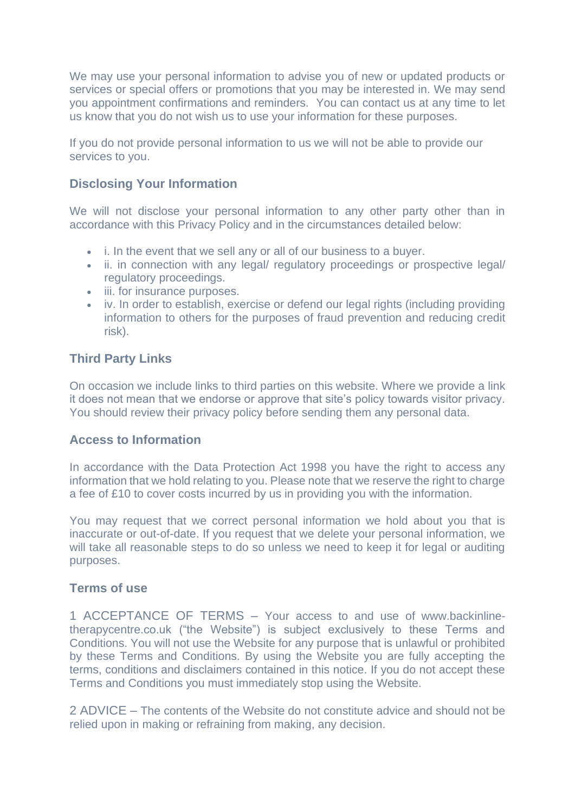We may use your personal information to advise you of new or updated products or services or special offers or promotions that you may be interested in. We may send you appointment confirmations and reminders. You can contact us at any time to let us know that you do not wish us to use your information for these purposes.

If you do not provide personal information to us we will not be able to provide our services to you.

## **Disclosing Your Information**

We will not disclose your personal information to any other party other than in accordance with this Privacy Policy and in the circumstances detailed below:

- i. In the event that we sell any or all of our business to a buyer.
- ii. in connection with any legal/ regulatory proceedings or prospective legal/ regulatory proceedings.
- iii. for insurance purposes.
- iv. In order to establish, exercise or defend our legal rights (including providing information to others for the purposes of fraud prevention and reducing credit risk).

# **Third Party Links**

On occasion we include links to third parties on this website. Where we provide a link it does not mean that we endorse or approve that site's policy towards visitor privacy. You should review their privacy policy before sending them any personal data.

## **Access to Information**

In accordance with the Data Protection Act 1998 you have the right to access any information that we hold relating to you. Please note that we reserve the right to charge a fee of £10 to cover costs incurred by us in providing you with the information.

You may request that we correct personal information we hold about you that is inaccurate or out-of-date. If you request that we delete your personal information, we will take all reasonable steps to do so unless we need to keep it for legal or auditing purposes.

#### **Terms of use**

1 ACCEPTANCE OF TERMS – Your access to and use of www.backinlinetherapycentre.co.uk ("the Website") is subject exclusively to these Terms and Conditions. You will not use the Website for any purpose that is unlawful or prohibited by these Terms and Conditions. By using the Website you are fully accepting the terms, conditions and disclaimers contained in this notice. If you do not accept these Terms and Conditions you must immediately stop using the Website.

2 ADVICE – The contents of the Website do not constitute advice and should not be relied upon in making or refraining from making, any decision.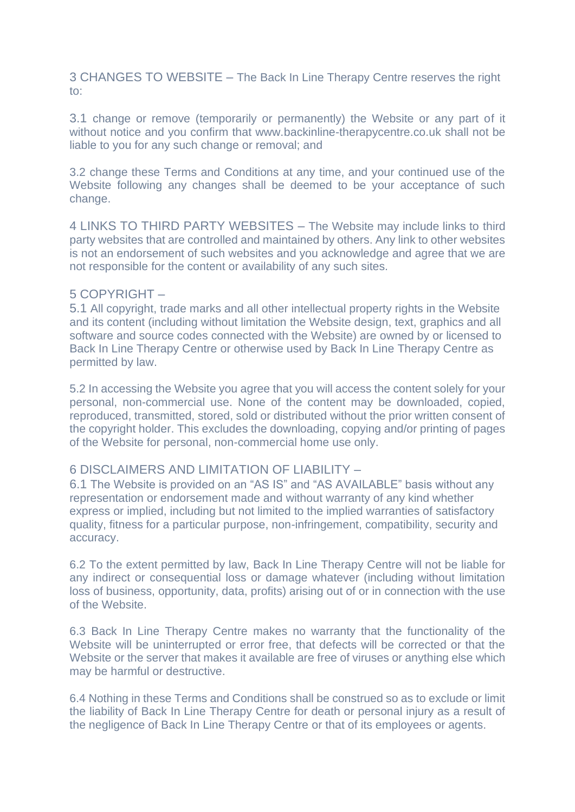3 CHANGES TO WEBSITE – The Back In Line Therapy Centre reserves the right to:

3.1 change or remove (temporarily or permanently) the Website or any part of it without notice and you confirm that www.backinline-therapycentre.co.uk shall not be liable to you for any such change or removal; and

3.2 change these Terms and Conditions at any time, and your continued use of the Website following any changes shall be deemed to be your acceptance of such change.

4 LINKS TO THIRD PARTY WEBSITES – The Website may include links to third party websites that are controlled and maintained by others. Any link to other websites is not an endorsement of such websites and you acknowledge and agree that we are not responsible for the content or availability of any such sites.

#### 5 COPYRIGHT –

5.1 All copyright, trade marks and all other intellectual property rights in the Website and its content (including without limitation the Website design, text, graphics and all software and source codes connected with the Website) are owned by or licensed to Back In Line Therapy Centre or otherwise used by Back In Line Therapy Centre as permitted by law.

5.2 In accessing the Website you agree that you will access the content solely for your personal, non-commercial use. None of the content may be downloaded, copied, reproduced, transmitted, stored, sold or distributed without the prior written consent of the copyright holder. This excludes the downloading, copying and/or printing of pages of the Website for personal, non-commercial home use only.

#### 6 DISCLAIMERS AND LIMITATION OF LIABILITY –

6.1 The Website is provided on an "AS IS" and "AS AVAILABLE" basis without any representation or endorsement made and without warranty of any kind whether express or implied, including but not limited to the implied warranties of satisfactory quality, fitness for a particular purpose, non-infringement, compatibility, security and accuracy.

6.2 To the extent permitted by law, Back In Line Therapy Centre will not be liable for any indirect or consequential loss or damage whatever (including without limitation loss of business, opportunity, data, profits) arising out of or in connection with the use of the Website.

6.3 Back In Line Therapy Centre makes no warranty that the functionality of the Website will be uninterrupted or error free, that defects will be corrected or that the Website or the server that makes it available are free of viruses or anything else which may be harmful or destructive.

6.4 Nothing in these Terms and Conditions shall be construed so as to exclude or limit the liability of Back In Line Therapy Centre for death or personal injury as a result of the negligence of Back In Line Therapy Centre or that of its employees or agents.